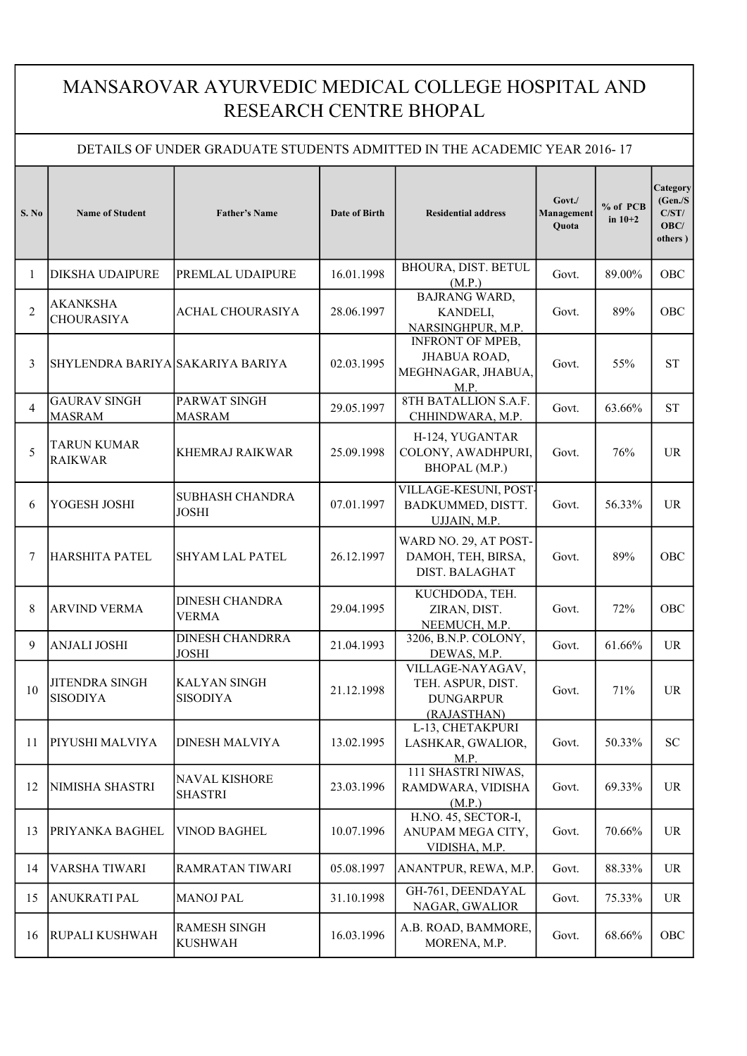## MANSAROVAR AYURVEDIC MEDICAL COLLEGE HOSPITAL AND RESEARCH CENTRE BHOPAL

## DETAILS OF UNDER GRADUATE STUDENTS ADMITTED IN THE ACADEMIC YEAR 2016- 17

| S. No          | <b>Name of Student</b>                   | <b>Father's Name</b>                   | <b>Date of Birth</b> | <b>Residential address</b>                                                   | Govt./<br>Management<br><b>Ouota</b> | % of PCB<br>in $10+2$ | Category<br>(Gen./S)<br>C/ST/<br>OBC/<br>others) |
|----------------|------------------------------------------|----------------------------------------|----------------------|------------------------------------------------------------------------------|--------------------------------------|-----------------------|--------------------------------------------------|
| 1              | <b>DIKSHA UDAIPURE</b>                   | PREMLAL UDAIPURE                       | 16.01.1998           | BHOURA, DIST. BETUL<br>(M.P.)                                                | Govt.                                | 89.00%                | OBC                                              |
| $\overline{2}$ | <b>AKANKSHA</b><br><b>CHOURASIYA</b>     | <b>ACHAL CHOURASIYA</b>                | 28.06.1997           | <b>BAJRANG WARD,</b><br>KANDELI,<br>NARSINGHPUR, M.P.                        | Govt.                                | 89%                   | OBC                                              |
| 3              | SHYLENDRA BARIYA SAKARIYA BARIYA         |                                        | 02.03.1995           | <b>INFRONT OF MPEB,</b><br><b>JHABUA ROAD,</b><br>MEGHNAGAR, JHABUA,<br>M.P. | Govt.                                | 55%                   | <b>ST</b>                                        |
| 4              | <b>GAURAV SINGH</b><br><b>MASRAM</b>     | PARWAT SINGH<br><b>MASRAM</b>          | 29.05.1997           | 8TH BATALLION S.A.F.<br>CHHINDWARA, M.P.                                     | Govt.                                | 63.66%                | <b>ST</b>                                        |
| 5              | <b>TARUN KUMAR</b><br><b>RAIKWAR</b>     | <b>KHEMRAJ RAIKWAR</b>                 | 25.09.1998           | H-124, YUGANTAR<br>COLONY, AWADHPURI,<br>BHOPAL (M.P.)                       | Govt.                                | 76%                   | <b>UR</b>                                        |
| 6              | YOGESH JOSHI                             | <b>SUBHASH CHANDRA</b><br><b>JOSHI</b> | 07.01.1997           | VILLAGE-KESUNI, POST-<br>BADKUMMED, DISTT.<br>UJJAIN, M.P.                   | Govt.                                | 56.33%                | <b>UR</b>                                        |
| 7              | <b>HARSHITA PATEL</b>                    | <b>SHYAM LAL PATEL</b>                 | 26.12.1997           | WARD NO. 29, AT POST-<br>DAMOH, TEH, BIRSA,<br><b>DIST. BALAGHAT</b>         | Govt.                                | 89%                   | <b>OBC</b>                                       |
| 8              | <b>ARVIND VERMA</b>                      | <b>DINESH CHANDRA</b><br><b>VERMA</b>  | 29.04.1995           | KUCHDODA, TEH.<br>ZIRAN, DIST.<br>NEEMUCH, M.P.                              | Govt.                                | 72%                   | <b>OBC</b>                                       |
| 9              | <b>ANJALI JOSHI</b>                      | <b>DINESH CHANDRRA</b><br><b>JOSHI</b> | 21.04.1993           | 3206, B.N.P. COLONY,<br>DEWAS, M.P.                                          | Govt.                                | 61.66%                | <b>UR</b>                                        |
| 10             | <b>JITENDRA SINGH</b><br><b>SISODIYA</b> | <b>KALYAN SINGH</b><br><b>SISODIYA</b> | 21.12.1998           | VILLAGE-NAYAGAV,<br>TEH. ASPUR, DIST.<br><b>DUNGARPUR</b><br>(RAJASTHAN)     | Govt.                                | 71%                   | <b>UR</b>                                        |
| 11             | PIYUSHI MALVIYA                          | <b>DINESH MALVIYA</b>                  | 13.02.1995           | L-13, CHETAKPURI<br>LASHKAR, GWALIOR,<br>M.P.                                | Govt.                                | 50.33%                | <b>SC</b>                                        |
| 12             | NIMISHA SHASTRI                          | <b>NAVAL KISHORE</b><br><b>SHASTRI</b> | 23.03.1996           | 111 SHASTRI NIWAS,<br>RAMDWARA, VIDISHA<br>(M.P.)                            | Govt.                                | 69.33%                | UR                                               |
| 13             | PRIYANKA BAGHEL                          | <b>VINOD BAGHEL</b>                    | 10.07.1996           | H.NO. 45, SECTOR-I,<br>ANUPAM MEGA CITY,<br>VIDISHA, M.P.                    | Govt.                                | 70.66%                | UR                                               |
| 14             | <b>VARSHA TIWARI</b>                     | <b>RAMRATAN TIWARI</b>                 | 05.08.1997           | ANANTPUR, REWA, M.P.                                                         | Govt.                                | 88.33%                | UR                                               |
| 15             | <b>ANUKRATI PAL</b>                      | <b>MANOJ PAL</b>                       | 31.10.1998           | GH-761, DEENDAYAL<br>NAGAR, GWALIOR                                          | Govt.                                | 75.33%                | UR                                               |
| 16             | RUPALI KUSHWAH                           | <b>RAMESH SINGH</b><br><b>KUSHWAH</b>  | 16.03.1996           | A.B. ROAD, BAMMORE,<br>MORENA, M.P.                                          | Govt.                                | 68.66%                | OBC                                              |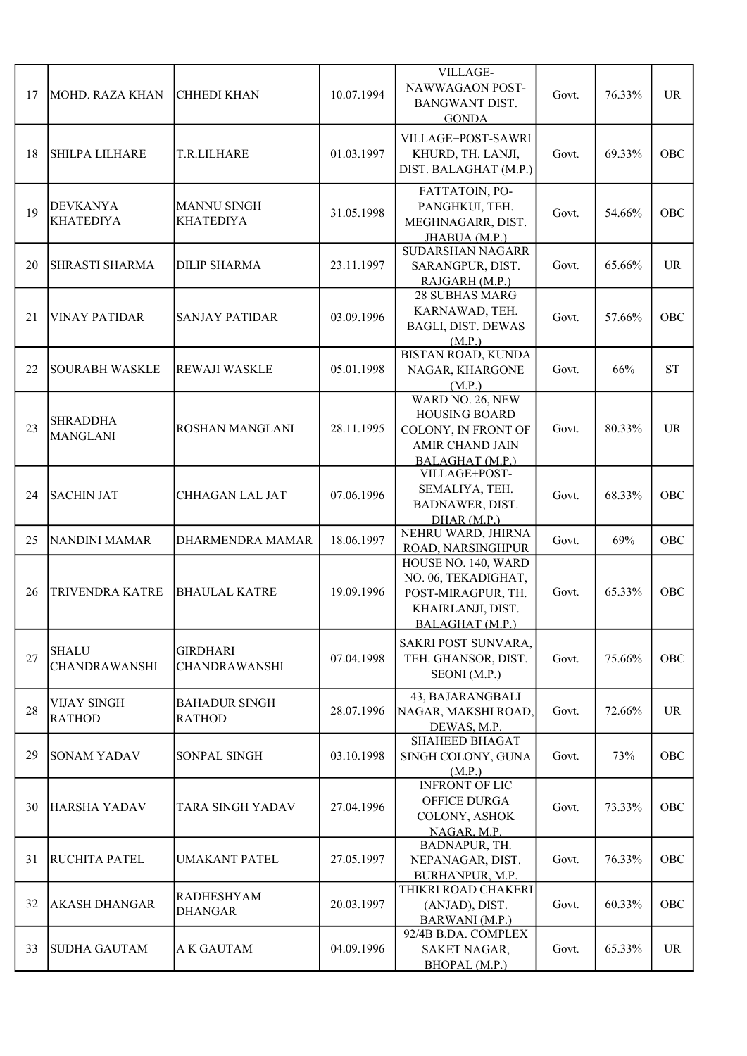| 17 | MOHD. RAZA KHAN                      | <b>CHHEDI KHAN</b>                      | 10.07.1994 | VILLAGE-<br>NAWWAGAON POST-<br><b>BANGWANT DIST.</b><br><b>GONDA</b>                                         | Govt. | 76.33% | <b>UR</b>           |
|----|--------------------------------------|-----------------------------------------|------------|--------------------------------------------------------------------------------------------------------------|-------|--------|---------------------|
| 18 | <b>SHILPA LILHARE</b>                | T.R.LILHARE                             | 01.03.1997 | VILLAGE+POST-SAWRI<br>KHURD, TH. LANJI,<br>DIST. BALAGHAT (M.P.)                                             | Govt. | 69.33% | OBC                 |
| 19 | <b>DEVKANYA</b><br><b>KHATEDIYA</b>  | <b>MANNU SINGH</b><br><b>KHATEDIYA</b>  | 31.05.1998 | FATTATOIN, PO-<br>PANGHKUI, TEH.<br>MEGHNAGARR, DIST.<br>JHABUA (M.P.)                                       | Govt. | 54.66% | OBC                 |
| 20 | <b>SHRASTI SHARMA</b>                | <b>DILIP SHARMA</b>                     | 23.11.1997 | SUDARSHAN NAGARR<br>SARANGPUR, DIST.<br>RAJGARH (M.P.)                                                       | Govt. | 65.66% | <b>UR</b>           |
| 21 | <b>VINAY PATIDAR</b>                 | <b>SANJAY PATIDAR</b>                   | 03.09.1996 | 28 SUBHAS MARG<br>KARNAWAD, TEH.<br><b>BAGLI, DIST. DEWAS</b><br>(M.P.)                                      | Govt. | 57.66% | OBC                 |
| 22 | <b>SOURABH WASKLE</b>                | <b>REWAJI WASKLE</b>                    | 05.01.1998 | <b>BISTAN ROAD, KUNDA</b><br>NAGAR, KHARGONE<br>(M.P.)                                                       | Govt. | 66%    | $\operatorname{ST}$ |
| 23 | <b>SHRADDHA</b><br><b>MANGLANI</b>   | ROSHAN MANGLANI                         | 28.11.1995 | WARD NO. 26, NEW<br><b>HOUSING BOARD</b><br>COLONY, IN FRONT OF<br><b>AMIR CHAND JAIN</b><br>BALAGHAT (M.P.) | Govt. | 80.33% | <b>UR</b>           |
| 24 | <b>SACHIN JAT</b>                    | CHHAGAN LAL JAT                         | 07.06.1996 | VILLAGE+POST-<br>SEMALIYA, TEH.<br>BADNAWER, DIST.<br>DHAR(M.P.)                                             | Govt. | 68.33% | OBC                 |
| 25 | <b>NANDINI MAMAR</b>                 | DHARMENDRA MAMAR                        | 18.06.1997 | NEHRU WARD, JHIRNA<br>ROAD, NARSINGHPUR                                                                      | Govt. | 69%    | OBC                 |
| 26 | TRIVENDRA KATRE                      | <b>BHAULAL KATRE</b>                    | 19.09.1996 | HOUSE NO. 140, WARD<br>NO. 06, TEKADIGHAT,<br>POST-MIRAGPUR, TH.<br>KHAIRLANJI, DIST.<br>BALAGHAT (M.P.)     | Govt. | 65.33% | OBC                 |
| 27 | <b>SHALU</b><br><b>CHANDRAWANSHI</b> | <b>GIRDHARI</b><br><b>CHANDRAWANSHI</b> | 07.04.1998 | SAKRI POST SUNVARA,<br>TEH. GHANSOR, DIST.<br>SEONI (M.P.)                                                   | Govt. | 75.66% | OBC                 |
| 28 | VIJAY SINGH<br><b>RATHOD</b>         | <b>BAHADUR SINGH</b><br><b>RATHOD</b>   | 28.07.1996 | 43, BAJARANGBALI<br>NAGAR, MAKSHI ROAD,<br>DEWAS, M.P.                                                       | Govt. | 72.66% | <b>UR</b>           |
| 29 | SONAM YADAV                          | <b>SONPAL SINGH</b>                     | 03.10.1998 | <b>SHAHEED BHAGAT</b><br>SINGH COLONY, GUNA<br>(M.P.)                                                        | Govt. | 73%    | OBC                 |
| 30 | HARSHA YADAV                         | <b>TARA SINGH YADAV</b>                 | 27.04.1996 | <b>INFRONT OF LIC</b><br>OFFICE DURGA<br>COLONY, ASHOK<br>NAGAR, M.P.                                        | Govt. | 73.33% | OBC                 |
| 31 | RUCHITA PATEL                        | UMAKANT PATEL                           | 27.05.1997 | BADNAPUR, TH.<br>NEPANAGAR, DIST.<br>BURHANPUR, M.P.                                                         | Govt. | 76.33% | OBC                 |
| 32 | <b>AKASH DHANGAR</b>                 | <b>RADHESHYAM</b><br><b>DHANGAR</b>     | 20.03.1997 | THIKRI ROAD CHAKERI<br>(ANJAD), DIST.<br>BARWANI (M.P.)                                                      | Govt. | 60.33% | OBC                 |
| 33 | SUDHA GAUTAM                         | <b>A K GAUTAM</b>                       | 04.09.1996 | 92/4B B.DA. COMPLEX<br>SAKET NAGAR,<br>BHOPAL (M.P.)                                                         | Govt. | 65.33% | UR                  |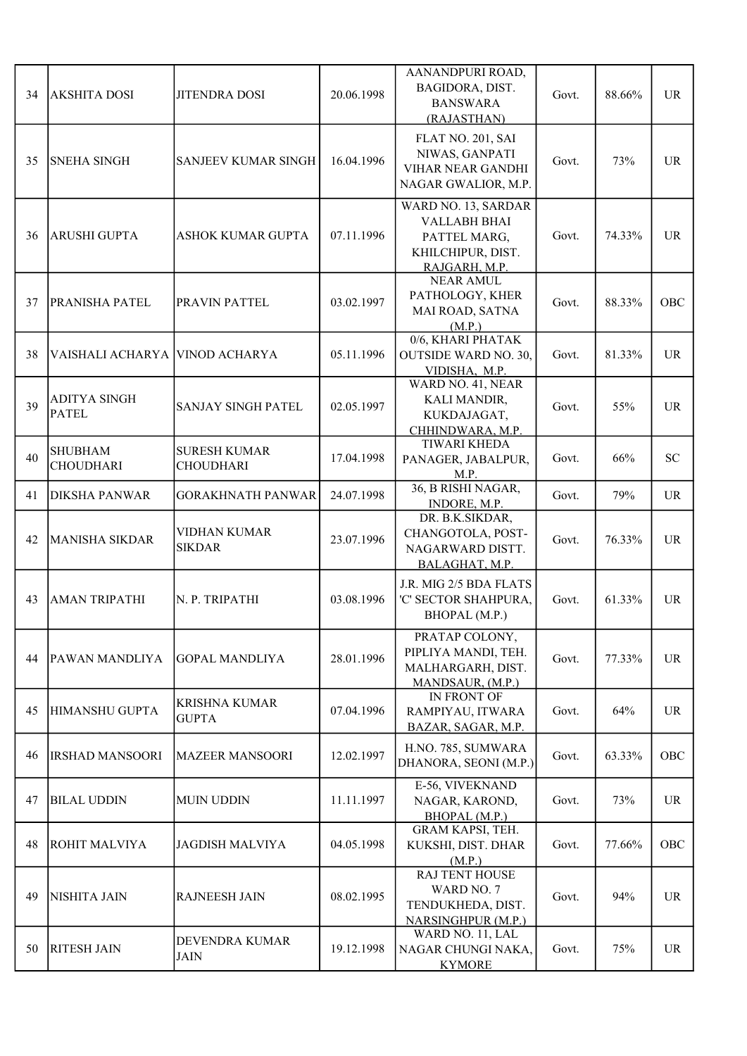| 34 | <b>AKSHITA DOSI</b>                 | <b>JITENDRA DOSI</b>                    | 20.06.1998 | AANANDPURI ROAD,<br>BAGIDORA, DIST.<br><b>BANSWARA</b><br>(RAJASTHAN)                            | Govt. | 88.66% | <b>UR</b> |
|----|-------------------------------------|-----------------------------------------|------------|--------------------------------------------------------------------------------------------------|-------|--------|-----------|
| 35 | <b>SNEHA SINGH</b>                  | <b>SANJEEV KUMAR SINGH</b>              | 16.04.1996 | FLAT NO. 201, SAI<br>NIWAS, GANPATI<br>VIHAR NEAR GANDHI<br>NAGAR GWALIOR, M.P.                  | Govt. | 73%    | <b>UR</b> |
| 36 | <b>ARUSHI GUPTA</b>                 | <b>ASHOK KUMAR GUPTA</b>                | 07.11.1996 | WARD NO. 13, SARDAR<br><b>VALLABH BHAI</b><br>PATTEL MARG,<br>KHILCHIPUR, DIST.<br>RAJGARH, M.P. | Govt. | 74.33% | <b>UR</b> |
| 37 | <b>PRANISHA PATEL</b>               | PRAVIN PATTEL                           | 03.02.1997 | <b>NEAR AMUL</b><br>PATHOLOGY, KHER<br>MAI ROAD, SATNA<br>(M.P.)                                 | Govt. | 88.33% | OBC       |
| 38 | VAISHALI ACHARYA VINOD ACHARYA      |                                         | 05.11.1996 | 0/6, KHARI PHATAK<br><b>OUTSIDE WARD NO. 30,</b><br>VIDISHA, M.P.                                | Govt. | 81.33% | <b>UR</b> |
| 39 | <b>ADITYA SINGH</b><br><b>PATEL</b> | <b>SANJAY SINGH PATEL</b>               | 02.05.1997 | WARD NO. 41, NEAR<br>KALI MANDIR,<br>KUKDAJAGAT,<br>CHHINDWARA, M.P.                             | Govt. | 55%    | <b>UR</b> |
| 40 | <b>SHUBHAM</b><br><b>CHOUDHARI</b>  | <b>SURESH KUMAR</b><br><b>CHOUDHARI</b> | 17.04.1998 | <b>TIWARI KHEDA</b><br>PANAGER, JABALPUR,<br>M.P.                                                | Govt. | 66%    | <b>SC</b> |
| 41 | <b>DIKSHA PANWAR</b>                | <b>GORAKHNATH PANWAR</b>                | 24.07.1998 | 36, B RISHI NAGAR,<br>INDORE, M.P.                                                               | Govt. | 79%    | <b>UR</b> |
| 42 | <b>MANISHA SIKDAR</b>               | <b>VIDHAN KUMAR</b><br><b>SIKDAR</b>    | 23.07.1996 | DR. B.K.SIKDAR,<br>CHANGOTOLA, POST-<br>NAGARWARD DISTT.<br>BALAGHAT, M.P.                       | Govt. | 76.33% | <b>UR</b> |
| 43 | AMAN TRIPATHI                       | N. P. TRIPATHI                          | 03.08.1996 | J.R. MIG 2/5 BDA FLATS<br>'C' SECTOR SHAHPURA,<br>BHOPAL (M.P.)                                  | Govt. | 61.33% | <b>UR</b> |
| 44 | PAWAN MANDLIYA                      | <b>GOPAL MANDLIYA</b>                   | 28.01.1996 | PRATAP COLONY,<br>PIPLIYA MANDI, TEH.<br>MALHARGARH, DIST.<br>MANDSAUR, (M.P.)                   | Govt. | 77.33% | <b>UR</b> |
| 45 | HIMANSHU GUPTA                      | <b>KRISHNA KUMAR</b><br><b>GUPTA</b>    | 07.04.1996 | IN FRONT OF<br>RAMPIYAU, ITWARA<br>BAZAR, SAGAR, M.P.                                            | Govt. | 64%    | <b>UR</b> |
| 46 | <b>IRSHAD MANSOORI</b>              | <b>MAZEER MANSOORI</b>                  | 12.02.1997 | H.NO. 785, SUMWARA<br>DHANORA, SEONI (M.P.)                                                      | Govt. | 63.33% | OBC       |
| 47 | <b>BILAL UDDIN</b>                  | <b>MUIN UDDIN</b>                       | 11.11.1997 | E-56, VIVEKNAND<br>NAGAR, KAROND,<br>BHOPAL (M.P.)                                               | Govt. | 73%    | <b>UR</b> |
| 48 | ROHIT MALVIYA                       | <b>JAGDISH MALVIYA</b>                  | 04.05.1998 | GRAM KAPSI, TEH.<br>KUKSHI, DIST. DHAR<br>(M.P.)                                                 | Govt. | 77.66% | OBC       |
| 49 | NISHITA JAIN                        | <b>RAJNEESH JAIN</b>                    | 08.02.1995 | RAJ TENT HOUSE<br>WARD NO. 7<br>TENDUKHEDA, DIST.<br>NARSINGHPUR (M.P.)                          | Govt. | 94%    | <b>UR</b> |
| 50 | <b>RITESH JAIN</b>                  | <b>DEVENDRA KUMAR</b><br><b>JAIN</b>    | 19.12.1998 | WARD NO. 11, LAL<br>NAGAR CHUNGI NAKA,<br><b>KYMORE</b>                                          | Govt. | 75%    | <b>UR</b> |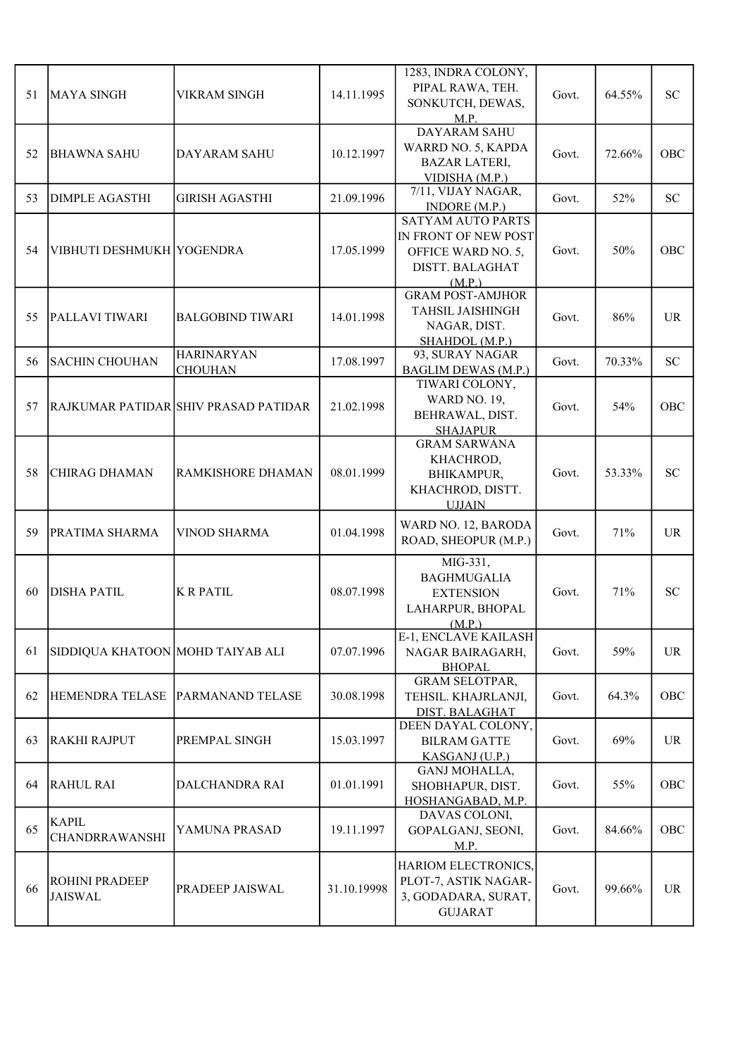| 51 | MAYA SINGH                              | <b>VIKRAM SINGH</b>                  | 14.11.1995  | 1283, INDRA COLONY,<br>PIPAL RAWA, TEH.<br>SONKUTCH, DEWAS,<br>M.P.                                        | Govt. | 64.55% | <b>SC</b>  |
|----|-----------------------------------------|--------------------------------------|-------------|------------------------------------------------------------------------------------------------------------|-------|--------|------------|
| 52 | <b>BHAWNA SAHU</b>                      | DAYARAM SAHU                         | 10.12.1997  | <b>DAYARAM SAHU</b><br>WARRD NO. 5, KAPDA<br><b>BAZAR LATERI,</b><br>VIDISHA (M.P.)                        | Govt. | 72.66% | <b>OBC</b> |
| 53 | <b>DIMPLE AGASTHI</b>                   | <b>GIRISH AGASTHI</b>                | 21.09.1996  | 7/11, VIJAY NAGAR,<br>INDORE (M.P.)                                                                        | Govt. | 52%    | <b>SC</b>  |
| 54 | VIBHUTI DESHMUKH YOGENDRA               |                                      | 17.05.1999  | <b>SATYAM AUTO PARTS</b><br>IN FRONT OF NEW POST<br>OFFICE WARD NO. 5,<br><b>DISTT. BALAGHAT</b><br>(M.P.) | Govt. | 50%    | OBC        |
| 55 | PALLAVI TIWARI                          | <b>BALGOBIND TIWARI</b>              | 14.01.1998  | <b>GRAM POST-AMJHOR</b><br>TAHSIL JAISHINGH<br>NAGAR, DIST.<br>SHAHDOL (M.P.)                              | Govt. | 86%    | <b>UR</b>  |
| 56 | <b>SACHIN CHOUHAN</b>                   | <b>HARINARYAN</b><br><b>CHOUHAN</b>  | 17.08.1997  | 93, SURAY NAGAR<br><b>BAGLIM DEWAS (M.P.)</b>                                                              | Govt. | 70.33% | <b>SC</b>  |
| 57 |                                         | RAJKUMAR PATIDAR SHIV PRASAD PATIDAR | 21.02.1998  | TIWARI COLONY,<br><b>WARD NO. 19,</b><br>BEHRAWAL, DIST.<br><b>SHAJAPUR</b>                                | Govt. | 54%    | OBC        |
| 58 | <b>CHIRAG DHAMAN</b>                    | <b>RAMKISHORE DHAMAN</b>             | 08.01.1999  | <b>GRAM SARWANA</b><br>KHACHROD,<br>BHIKAMPUR,<br>KHACHROD, DISTT.<br><b>UJJAIN</b>                        | Govt. | 53.33% | <b>SC</b>  |
| 59 | PRATIMA SHARMA                          | VINOD SHARMA                         | 01.04.1998  | WARD NO. 12, BARODA<br>ROAD, SHEOPUR (M.P.)                                                                | Govt. | 71%    | <b>UR</b>  |
| 60 | DISHA PATIL                             | <b>KRPATIL</b>                       | 08.07.1998  | MIG-331,<br><b>BAGHMUGALIA</b><br><b>EXTENSION</b><br>LAHARPUR, BHOPAL<br>(M.P.)                           | Govt. | 71%    | <b>SC</b>  |
| 61 | SIDDIQUA KHATOON MOHD TAIYAB ALI        |                                      | 07.07.1996  | E-1, ENCLAVE KAILASH<br>NAGAR BAIRAGARH,<br><b>BHOPAL</b>                                                  | Govt. | 59%    | UR         |
| 62 | HEMENDRA TELASE                         | <b>PARMANAND TELASE</b>              | 30.08.1998  | <b>GRAM SELOTPAR,</b><br>TEHSIL. KHAJRLANJI,<br>DIST. BALAGHAT                                             | Govt. | 64.3%  | OBC        |
| 63 | <b>RAKHI RAJPUT</b>                     | <b>PREMPAL SINGH</b>                 | 15.03.1997  | DEEN DAYAL COLONY,<br><b>BILRAM GATTE</b><br>KASGANJ (U.P.)                                                | Govt. | 69%    | UR         |
| 64 | <b>RAHUL RAI</b>                        | DALCHANDRA RAI                       | 01.01.1991  | GANJ MOHALLA,<br>SHOBHAPUR, DIST.<br>HOSHANGABAD, M.P.                                                     | Govt. | 55%    | OBC        |
| 65 | <b>KAPIL</b><br><b>CHANDRRAWANSHI</b>   | YAMUNA PRASAD                        | 19.11.1997  | DAVAS COLONI,<br>GOPALGANJ, SEONI,<br>M.P.                                                                 | Govt. | 84.66% | OBC        |
| 66 | <b>ROHINI PRADEEP</b><br><b>JAISWAL</b> | <b>PRADEEP JAISWAL</b>               | 31.10.19998 | HARIOM ELECTRONICS,<br>PLOT-7, ASTIK NAGAR-<br>3, GODADARA, SURAT,<br><b>GUJARAT</b>                       | Govt. | 99.66% | <b>UR</b>  |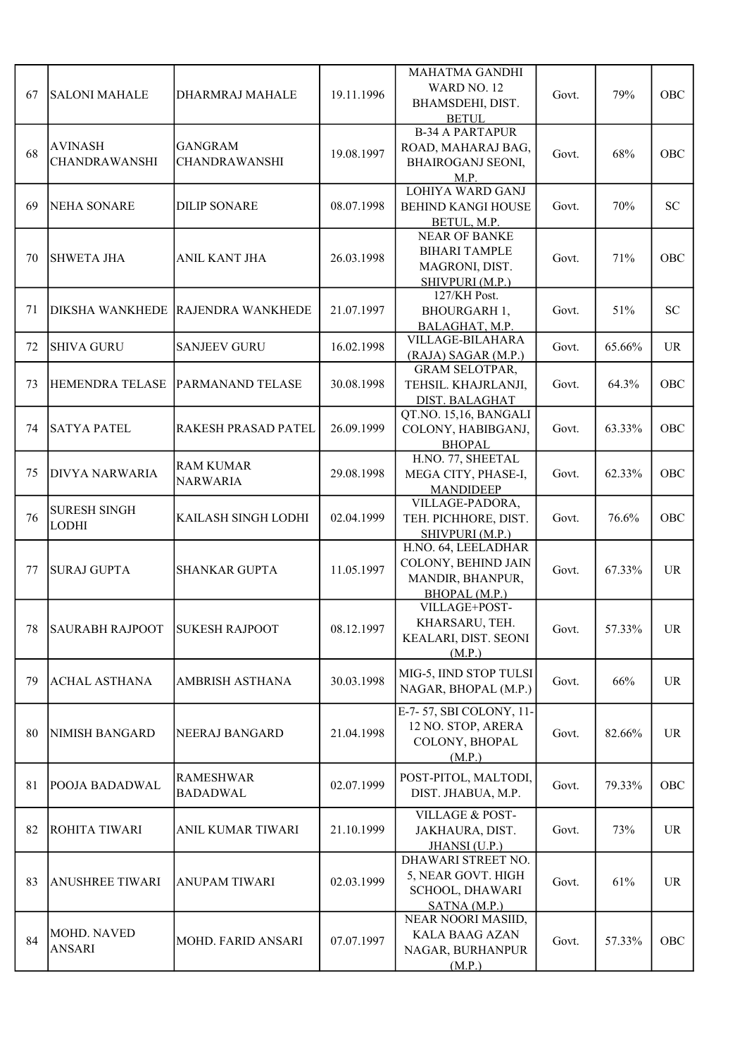| 67 | SALONI MAHALE                          | DHARMRAJ MAHALE                        | 19.11.1996 | MAHATMA GANDHI<br>WARD NO. 12<br>BHAMSDEHI, DIST.<br><b>BETUL</b>                 | Govt. | 79%    | OBC        |
|----|----------------------------------------|----------------------------------------|------------|-----------------------------------------------------------------------------------|-------|--------|------------|
| 68 | <b>AVINASH</b><br><b>CHANDRAWANSHI</b> | <b>GANGRAM</b><br><b>CHANDRAWANSHI</b> | 19.08.1997 | <b>B-34 A PARTAPUR</b><br>ROAD, MAHARAJ BAG,<br><b>BHAIROGANJ SEONI,</b><br>M.P.  | Govt. | 68%    | OBC        |
| 69 | <b>NEHA SONARE</b>                     | <b>DILIP SONARE</b>                    | 08.07.1998 | <b>LOHIYA WARD GANJ</b><br><b>BEHIND KANGI HOUSE</b><br>BETUL, M.P.               | Govt. | 70%    | <b>SC</b>  |
| 70 | <b>SHWETA JHA</b>                      | ANIL KANT JHA                          | 26.03.1998 | <b>NEAR OF BANKE</b><br><b>BIHARI TAMPLE</b><br>MAGRONI, DIST.<br>SHIVPURI (M.P.) | Govt. | 71%    | OBC        |
| 71 | <b>DIKSHA WANKHEDE</b>                 | <b>RAJENDRA WANKHEDE</b>               | 21.07.1997 | 127/KH Post.<br><b>BHOURGARH 1,</b><br>BALAGHAT, M.P.                             | Govt. | 51%    | <b>SC</b>  |
| 72 | <b>SHIVA GURU</b>                      | <b>SANJEEV GURU</b>                    | 16.02.1998 | VILLAGE-BILAHARA<br>(RAJA) SAGAR (M.P.)                                           | Govt. | 65.66% | <b>UR</b>  |
| 73 | <b>HEMENDRA TELASE</b>                 | <b>PARMANAND TELASE</b>                | 30.08.1998 | <b>GRAM SELOTPAR,</b><br>TEHSIL. KHAJRLANJI,<br>DIST. BALAGHAT                    | Govt. | 64.3%  | OBC        |
| 74 | <b>SATYA PATEL</b>                     | <b>RAKESH PRASAD PATEL</b>             | 26.09.1999 | QT.NO. 15,16, BANGALI<br>COLONY, HABIBGANJ,<br><b>BHOPAL</b>                      | Govt. | 63.33% | OBC        |
| 75 | <b>DIVYA NARWARIA</b>                  | <b>RAM KUMAR</b><br><b>NARWARIA</b>    | 29.08.1998 | H.NO. 77, SHEETAL<br>MEGA CITY, PHASE-I,<br><b>MANDIDEEP</b>                      | Govt. | 62.33% | OBC        |
| 76 | <b>SURESH SINGH</b><br><b>LODHI</b>    | KAILASH SINGH LODHI                    | 02.04.1999 | VILLAGE-PADORA,<br>TEH. PICHHORE, DIST.<br>SHIVPURI (M.P.)                        | Govt. | 76.6%  | OBC        |
| 77 | <b>SURAJ GUPTA</b>                     | <b>SHANKAR GUPTA</b>                   | 11.05.1997 | H.NO. 64, LEELADHAR<br>COLONY, BEHIND JAIN<br>MANDIR, BHANPUR,<br>BHOPAL (M.P.)   | Govt. | 67.33% | UR         |
| 78 | SAURABH RAJPOOT                        | <b>SUKESH RAJPOOT</b>                  | 08.12.1997 | VILLAGE+POST-<br>KHARSARU, TEH.<br>KEALARI, DIST. SEONI<br>(M.P.)                 | Govt. | 57.33% | UR.        |
| 79 | <b>ACHAL ASTHANA</b>                   | AMBRISH ASTHANA                        | 30.03.1998 | MIG-5, IIND STOP TULSI<br>NAGAR, BHOPAL (M.P.)                                    | Govt. | 66%    | UR         |
| 80 | <b>NIMISH BANGARD</b>                  | NEERAJ BANGARD                         | 21.04.1998 | E-7-57, SBI COLONY, 11-<br>12 NO. STOP, ARERA<br>COLONY, BHOPAL<br>(M.P.)         | Govt. | 82.66% | UR         |
| 81 | POOJA BADADWAL                         | <b>RAMESHWAR</b><br><b>BADADWAL</b>    | 02.07.1999 | POST-PITOL, MALTODI,<br>DIST. JHABUA, M.P.                                        | Govt. | 79.33% | OBC        |
| 82 | <b>ROHITA TIWARI</b>                   | ANIL KUMAR TIWARI                      | 21.10.1999 | <b>VILLAGE &amp; POST-</b><br>JAKHAURA, DIST.<br>JHANSI (U.P.)                    | Govt. | 73%    | UR         |
| 83 | <b>ANUSHREE TIWARI</b>                 | <b>ANUPAM TIWARI</b>                   | 02.03.1999 | DHAWARI STREET NO.<br>5, NEAR GOVT. HIGH<br>SCHOOL, DHAWARI<br>SATNA (M.P.)       | Govt. | 61%    | UR         |
| 84 | MOHD. NAVED<br><b>ANSARI</b>           | MOHD. FARID ANSARI                     | 07.07.1997 | NEAR NOORI MASIID,<br><b>KALA BAAG AZAN</b><br>NAGAR, BURHANPUR<br>(M.P.)         | Govt. | 57.33% | <b>OBC</b> |